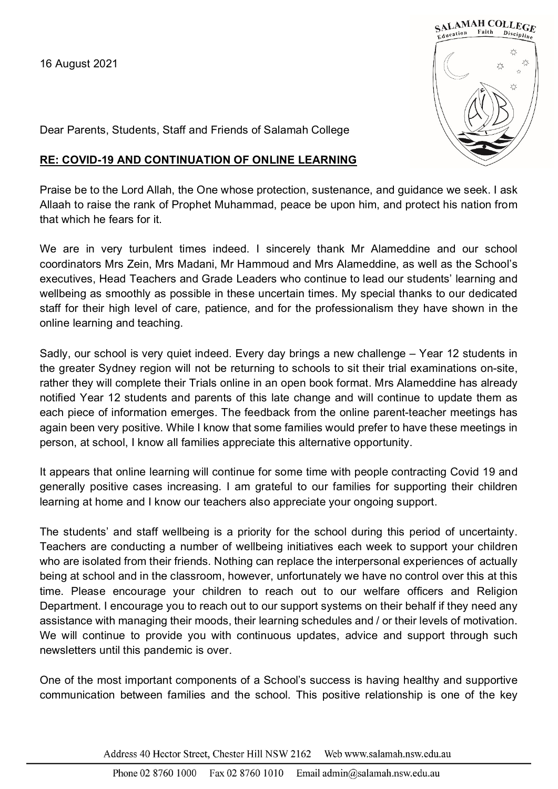

Dear Parents, Students, Staff and Friends of Salamah College

## **RE: COVID-19 AND CONTINUATION OF ONLINE LEARNING**

Praise be to the Lord Allah, the One whose protection, sustenance, and guidance we seek. I ask Allaah to raise the rank of Prophet Muhammad, peace be upon him, and protect his nation from that which he fears for it.

We are in very turbulent times indeed. I sincerely thank Mr Alameddine and our school coordinators Mrs Zein, Mrs Madani, Mr Hammoud and Mrs Alameddine, as well as the School's executives, Head Teachers and Grade Leaders who continue to lead our students' learning and wellbeing as smoothly as possible in these uncertain times. My special thanks to our dedicated staff for their high level of care, patience, and for the professionalism they have shown in the online learning and teaching.

Sadly, our school is very quiet indeed. Every day brings a new challenge – Year 12 students in the greater Sydney region will not be returning to schools to sit their trial examinations on-site, rather they will complete their Trials online in an open book format. Mrs Alameddine has already notified Year 12 students and parents of this late change and will continue to update them as each piece of information emerges. The feedback from the online parent-teacher meetings has again been very positive. While I know that some families would prefer to have these meetings in person, at school, I know all families appreciate this alternative opportunity.

It appears that online learning will continue for some time with people contracting Covid 19 and generally positive cases increasing. I am grateful to our families for supporting their children learning at home and I know our teachers also appreciate your ongoing support.

The students' and staff wellbeing is a priority for the school during this period of uncertainty. Teachers are conducting a number of wellbeing initiatives each week to support your children who are isolated from their friends. Nothing can replace the interpersonal experiences of actually being at school and in the classroom, however, unfortunately we have no control over this at this time. Please encourage your children to reach out to our welfare officers and Religion Department. I encourage you to reach out to our support systems on their behalf if they need any assistance with managing their moods, their learning schedules and / or their levels of motivation. We will continue to provide you with continuous updates, advice and support through such newsletters until this pandemic is over.

One of the most important components of a School's success is having healthy and supportive communication between families and the school. This positive relationship is one of the key

> Address 40 Hector Street, Chester Hill NSW 2162 Web www.salamah.nsw.edu.au